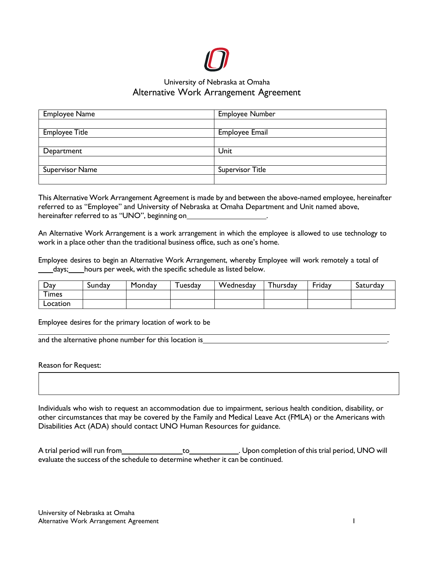

# University of Nebraska at Omaha Alternative Work Arrangement Agreement

| <b>Employee Name</b>   | Employee Number       |  |
|------------------------|-----------------------|--|
|                        |                       |  |
| <b>Employee Title</b>  | <b>Employee Email</b> |  |
|                        |                       |  |
| Department             | Unit                  |  |
|                        |                       |  |
| <b>Supervisor Name</b> | Supervisor Title      |  |
|                        |                       |  |

This Alternative Work Arrangement Agreement is made by and between the above-named employee, hereinafter referred to as "Employee" and University of Nebraska at Omaha Department and Unit named above, hereinafter referred to as "UNO", beginning on\_

An Alternative Work Arrangement is a work arrangement in which the employee is allowed to use technology to work in a place other than the traditional business office, such as one's home.

Employee desires to begin an Alternative Work Arrangement, whereby Employee will work remotely a total of days; hours per week, with the specific schedule as listed below.

| Day                | -<br>Sunday | Monday | uesday | Wednesday | ' hursday | Friday | Saturday |
|--------------------|-------------|--------|--------|-----------|-----------|--------|----------|
| ᅮ.<br><b>Times</b> |             |        |        |           |           |        |          |
| Location           |             |        |        |           |           |        |          |

Employee desires for the primary location of work to be

and the alternative phone number for this location is\_

Reason for Request:

Individuals who wish to request an accommodation due to impairment, serious health condition, disability, or other circumstances that may be covered by the Family and Medical Leave Act (FMLA) or the Americans with Disabilities Act (ADA) should contact UNO Human Resources for guidance.

A trial period will run from to . Upon completion of this trial period, UNO will evaluate the success of the schedule to determine whether it can be continued.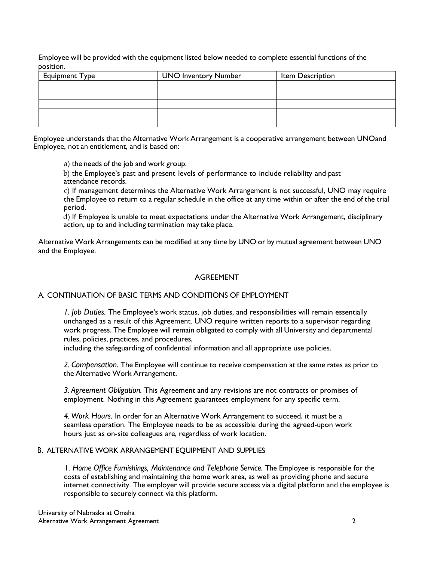Employee will be provided with the equipment listed below needed to complete essential functions of the position.

| <b>Equipment Type</b> | <b>UNO Inventory Number</b> | Item Description |  |
|-----------------------|-----------------------------|------------------|--|
|                       |                             |                  |  |
|                       |                             |                  |  |
|                       |                             |                  |  |
|                       |                             |                  |  |
|                       |                             |                  |  |

Employee understands that the Alternative Work Arrangement is a cooperative arrangement between UNOand Employee, not an entitlement, and is based on:

a) the needs of the job and work group.

b) the Employee's past and present levels of performance to include reliability and past attendance records.

c) If management determines the Alternative Work Arrangement is not successful, UNO may require the Employee to return to a regular schedule in the office at any time within or after the end of the trial period.

d) If Employee is unable to meet expectations under the Alternative Work Arrangement, disciplinary action, up to and including termination may take place.

Alternative Work Arrangements can be modified at any time by UNO or by mutual agreement between UNO and the Employee.

### AGREEMENT

### A. CONTINUATION OF BASIC TERMS AND CONDITIONS OF EMPLOYMENT

*1. Job Duties.* The Employee's work status, job duties, and responsibilities will remain essentially unchanged as a result of this Agreement. UNO require written reports to a supervisor regarding work progress. The Employee will remain obligated to comply with all University and departmental rules, policies, practices, and procedures,

including the safeguarding of confidential information and all appropriate use policies.

*2. Compensation.* The Employee will continue to receive compensation at the same rates as prior to the Alternative Work Arrangement.

*3. Agreement Obligation.* This Agreement and any revisions are not contracts or promises of employment. Nothing in this Agreement guarantees employment for any specific term.

*4. Work Hours.* In order for an Alternative Work Arrangement to succeed, it must be a seamless operation. The Employee needs to be as accessible during the agreed-upon work hours just as on-site colleagues are, regardless of work location.

### B. ALTERNATIVE WORK ARRANGEMENT EQUIPMENT AND SUPPLIES

1. *Home Office Furnishings, Maintenance and Telephone Service.* The Employee is responsible for the costs of establishing and maintaining the home work area, as well as providing phone and secure internet connectivity. The employer will provide secure access via a digital platform and the employee is responsible to securely connect via this platform.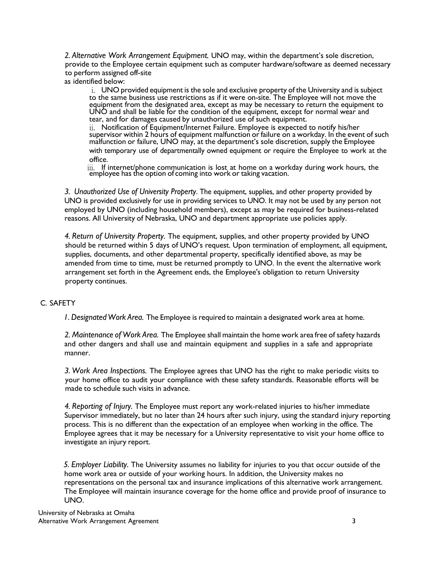*2. Alternative Work Arrangement Equipment.* UNO may, within the department's sole discretion, provide to the Employee certain equipment such as computer hardware/software as deemed necessary to perform assigned off-site

as identified below:

i. UNO provided equipment is the sole and exclusive property of the University and is subject to the same business use restrictions as if it were on-site. The Employee will not move the equipment from the designated area, except as may be necessary to return the equipment to UNO and shall be liable for the condition of the equipment, except for normal wear and tear, and for damages caused by unauthorized use of such equipment.

ii. Notification of Equipment/Internet Failure. Employee is expected to notify his/her supervisor within 2 hours of equipment malfunction or failure on a workday. In the event of such malfunction or failure, UNO may, at the department's sole discretion, supply the Employee with temporary use of departmentally owned equipment or require the Employee to work at the office.

iii. If internet/phone communication is lost at home on a workday during work hours, the employee has the option of coming into work or taking vacation.

*3. Unauthorized Use of University Property*. The equipment, supplies, and other property provided by UNO is provided exclusively for use in providing services to UNO. It may not be used by any person not employed by UNO (including household members), except as may be required for business-related reasons. All University of Nebraska, UNO and department appropriate use policies apply.

*4. Return of University Property.* The equipment, supplies, and other property provided by UNO should be returned within 5 days of UNO's request. Upon termination of employment, all equipment, supplies, documents, and other departmental property, specifically identified above, as may be amended from time to time, must be returned promptly to UNO. In the event the alternative work arrangement set forth in the Agreement ends, the Employee's obligation to return University property continues.

# C. SAFETY

*1. DesignatedWork Area.* The Employee is required to maintain a designated work area at home.

*2. Maintenance of Work Area.* The Employee shall maintain the home work area free of safety hazards and other dangers and shall use and maintain equipment and supplies in a safe and appropriate manner.

*3. Work Area Inspections.* The Employee agrees that UNO has the right to make periodic visits to your home office to audit your compliance with these safety standards. Reasonable efforts will be made to schedule such visits in advance.

*4. Reporting of Injury.* The Employee must report any work-related injuries to his/her immediate Supervisor immediately, but no later than 24 hours after such injury, using the standard injury reporting process. This is no different than the expectation of an employee when working in the office. The Employee agrees that it may be necessary for a University representative to visit your home office to investigate an injury report.

*5. Employer Liability.* The University assumes no liability for injuries to you that occur outside of the home work area or outside of your working hours. In addition, the University makes no representations on the personal tax and insurance implications of this alternative work arrangement. The Employee will maintain insurance coverage for the home office and provide proof of insurance to UNO.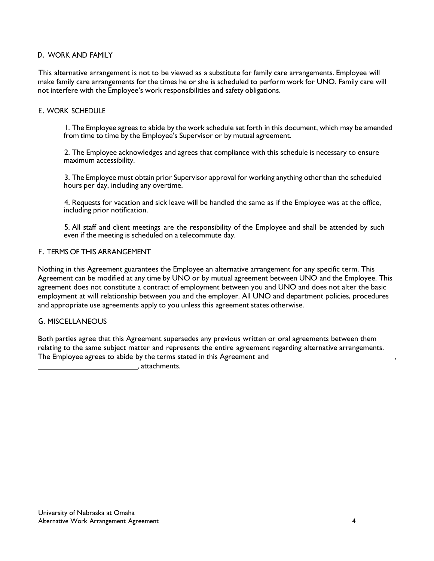# D. WORK AND FAMILY

This alternative arrangement is not to be viewed as a substitute for family care arrangements. Employee will make family care arrangements for the times he or she is scheduled to perform work for UNO. Family care will not interfere with the Employee's work responsibilities and safety obligations.

# E. WORK SCHEDULE

1. The Employee agrees to abide by the work schedule set forth in this document, which may be amended from time to time by the Employee's Supervisor or by mutual agreement.

2. The Employee acknowledges and agrees that compliance with this schedule is necessary to ensure maximum accessibility.

3. The Employee must obtain prior Supervisor approval for working anything otherthan the scheduled hours per day, including any overtime.

4. Requests for vacation and sick leave will be handled the same as if the Employee was at the office, including prior notification.

5. All staff and client meetings are the responsibility of the Employee and shall be attended by such even if the meeting is scheduled on a telecommute day.

# F. TERMS OF THIS ARRANGEMENT

Nothing in this Agreement guarantees the Employee an alternative arrangement for any specific term. This Agreement can be modified at any time by UNO or by mutual agreement between UNO and the Employee. This agreement does not constitute a contract of employment between you and UNO and does not alter the basic employment at will relationship between you and the employer. All UNO and department policies, procedures and appropriate use agreements apply to you unless this agreement states otherwise.

## G. MISCELLANEOUS

Both parties agree that this Agreement supersedes any previous written or oral agreements between them relating to the same subject matter and represents the entire agreement regarding alternative arrangements. The Employee agrees to abide by the terms stated in this Agreement and

, attachments.